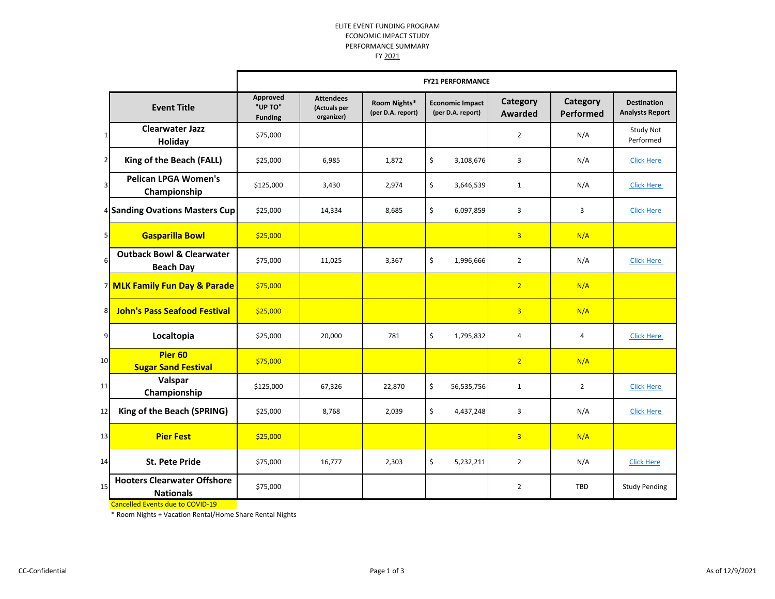## ELITE EVENT FUNDING PROGRAM ECONOMIC IMPACT STUDY PERFORMANCE SUMMARY

FY 2021

|                |                                                                                                   | <b>FY21 PERFORMANCE</b>               |                                                |                                   |                                             |                            |                       |                                              |
|----------------|---------------------------------------------------------------------------------------------------|---------------------------------------|------------------------------------------------|-----------------------------------|---------------------------------------------|----------------------------|-----------------------|----------------------------------------------|
|                | <b>Event Title</b>                                                                                | Approved<br>"UP TO"<br><b>Funding</b> | <b>Attendees</b><br>(Actuals per<br>organizer) | Room Nights*<br>(per D.A. report) | <b>Economic Impact</b><br>(per D.A. report) | Category<br><b>Awarded</b> | Category<br>Performed | <b>Destination</b><br><b>Analysts Report</b> |
| 1              | <b>Clearwater Jazz</b><br>Holiday                                                                 | \$75,000                              |                                                |                                   |                                             | $\overline{2}$             | N/A                   | Study Not<br>Performed                       |
| $\overline{2}$ | King of the Beach (FALL)                                                                          | \$25,000                              | 6,985                                          | 1,872                             | \$<br>3,108,676                             | 3                          | N/A                   | <b>Click Here</b>                            |
| $\vert$        | <b>Pelican LPGA Women's</b><br>Championship                                                       | \$125,000                             | 3,430                                          | 2,974                             | \$<br>3,646,539                             | 1                          | N/A                   | <b>Click Here</b>                            |
|                | <sup>4</sup> Sanding Ovations Masters Cup                                                         | \$25,000                              | 14,334                                         | 8,685                             | \$<br>6,097,859                             | 3                          | 3                     | <b>Click Here</b>                            |
| 5 <sub>l</sub> | <b>Gasparilla Bowl</b>                                                                            | \$25,000                              |                                                |                                   |                                             | $\overline{3}$             | N/A                   |                                              |
| 6              | <b>Outback Bowl &amp; Clearwater</b><br><b>Beach Day</b>                                          | \$75,000                              | 11,025                                         | 3,367                             | \$<br>1,996,666                             | $\overline{2}$             | N/A                   | <b>Click Here</b>                            |
|                | 7 MLK Family Fun Day & Parade                                                                     | \$75,000                              |                                                |                                   |                                             | 2 <sup>2</sup>             | N/A                   |                                              |
| 8              | <b>John's Pass Seafood Festival</b>                                                               | \$25,000                              |                                                |                                   |                                             | $\overline{3}$             | N/A                   |                                              |
| 9              | Localtopia                                                                                        | \$25,000                              | 20,000                                         | 781                               | \$<br>1,795,832                             | 4                          | 4                     | <b>Click Here</b>                            |
| 10             | Pier <sub>60</sub><br><b>Sugar Sand Festival</b>                                                  | \$75,000                              |                                                |                                   |                                             | 2 <sup>2</sup>             | N/A                   |                                              |
| 11             | Valspar<br>Championship                                                                           | \$125,000                             | 67,326                                         | 22,870                            | \$<br>56,535,756                            | $\mathbf{1}$               | $\overline{2}$        | <b>Click Here</b>                            |
| 12             | King of the Beach (SPRING)                                                                        | \$25,000                              | 8,768                                          | 2,039                             | \$<br>4,437,248                             | 3                          | N/A                   | <b>Click Here</b>                            |
| 13             | <b>Pier Fest</b>                                                                                  | \$25,000                              |                                                |                                   |                                             | $\overline{3}$             | N/A                   |                                              |
| 14             | <b>St. Pete Pride</b>                                                                             | \$75,000                              | 16,777                                         | 2,303                             | \$<br>5,232,211                             | $\overline{2}$             | N/A                   | <b>Click Here</b>                            |
| 15             | <b>Hooters Clearwater Offshore</b><br><b>Nationals</b><br><b>Cancelled Events due to COVID-19</b> | \$75,000                              |                                                |                                   |                                             | $\overline{2}$             | <b>TBD</b>            | <b>Study Pending</b>                         |

\* Room Nights + Vacation Rental/Home Share Rental Nights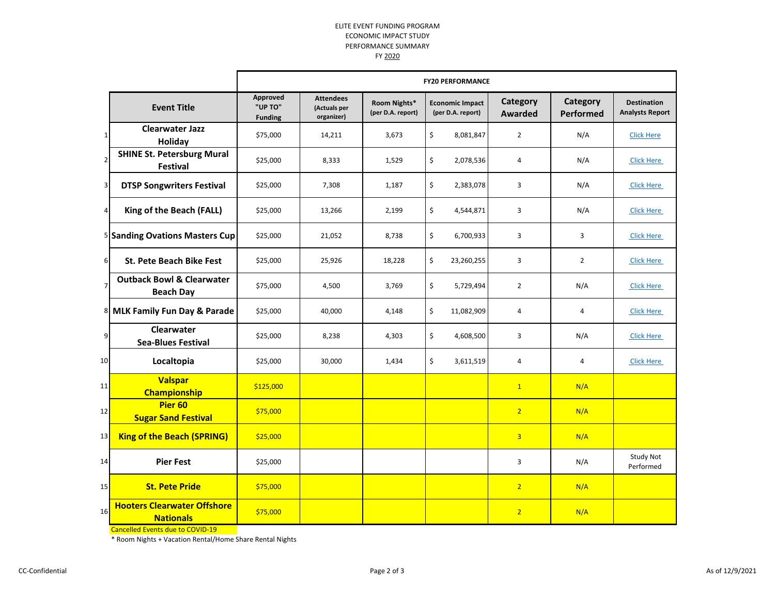## ELITE EVENT FUNDING PROGRAM ECONOMIC IMPACT STUDY PERFORMANCE SUMMARY

FY 2020

|                |                                                          | <b>FY20 PERFORMANCE</b>               |                                                |                                   |                                             |                            |                       |                                              |
|----------------|----------------------------------------------------------|---------------------------------------|------------------------------------------------|-----------------------------------|---------------------------------------------|----------------------------|-----------------------|----------------------------------------------|
|                | <b>Event Title</b>                                       | Approved<br>"UP TO"<br><b>Funding</b> | <b>Attendees</b><br>(Actuals per<br>organizer) | Room Nights*<br>(per D.A. report) | <b>Economic Impact</b><br>(per D.A. report) | Category<br><b>Awarded</b> | Category<br>Performed | <b>Destination</b><br><b>Analysts Report</b> |
| $\mathbf 1$    | <b>Clearwater Jazz</b><br>Holiday                        | \$75,000                              | 14,211                                         | 3,673                             | \$<br>8,081,847                             | $\overline{2}$             | N/A                   | <b>Click Here</b>                            |
| $\mathbf 2$    | <b>SHINE St. Petersburg Mural</b><br><b>Festival</b>     | \$25,000                              | 8,333                                          | 1,529                             | \$<br>2,078,536                             | 4                          | N/A                   | <b>Click Here</b>                            |
| 3              | <b>DTSP Songwriters Festival</b>                         | \$25,000                              | 7,308                                          | 1,187                             | \$<br>2,383,078                             | 3                          | N/A                   | <b>Click Here</b>                            |
| $\overline{4}$ | King of the Beach (FALL)                                 | \$25,000                              | 13,266                                         | 2,199                             | \$<br>4,544,871                             | 3                          | N/A                   | <b>Click Here</b>                            |
|                | 5 Sanding Ovations Masters Cup                           | \$25,000                              | 21,052                                         | 8,738                             | \$<br>6,700,933                             | 3                          | 3                     | <b>Click Here</b>                            |
| $6 \mid$       | <b>St. Pete Beach Bike Fest</b>                          | \$25,000                              | 25,926                                         | 18,228                            | \$<br>23,260,255                            | 3                          | $\overline{2}$        | <b>Click Here</b>                            |
| $\overline{7}$ | <b>Outback Bowl &amp; Clearwater</b><br><b>Beach Day</b> | \$75,000                              | 4,500                                          | 3,769                             | \$<br>5,729,494                             | $\overline{2}$             | N/A                   | <b>Click Here</b>                            |
|                | 8 MLK Family Fun Day & Parade                            | \$25,000                              | 40,000                                         | 4,148                             | \$<br>11,082,909                            | 4                          | 4                     | <b>Click Here</b>                            |
| 9              | <b>Clearwater</b><br><b>Sea-Blues Festival</b>           | \$25,000                              | 8,238                                          | 4,303                             | \$<br>4,608,500                             | 3                          | N/A                   | <b>Click Here</b>                            |
| 10             | Localtopia                                               | \$25,000                              | 30,000                                         | 1,434                             | \$<br>3,611,519                             | 4                          | 4                     | <b>Click Here</b>                            |
| 11             | <b>Valspar</b><br><b>Championship</b>                    | \$125,000                             |                                                |                                   |                                             | $\mathbf{1}$               | N/A                   |                                              |
| 12             | Pier <sub>60</sub><br><b>Sugar Sand Festival</b>         | \$75,000                              |                                                |                                   |                                             | $\overline{2}$             | N/A                   |                                              |
| 13             | <b>King of the Beach (SPRING)</b>                        | \$25,000                              |                                                |                                   |                                             | $\overline{3}$             | N/A                   |                                              |
| 14             | <b>Pier Fest</b>                                         | \$25,000                              |                                                |                                   |                                             | 3                          | N/A                   | <b>Study Not</b><br>Performed                |
| 15             | <b>St. Pete Pride</b>                                    | \$75,000                              |                                                |                                   |                                             | 2 <sup>1</sup>             | N/A                   |                                              |
| 16             | <b>Hooters Clearwater Offshore</b><br><b>Nationals</b>   | \$75,000                              |                                                |                                   |                                             | $\overline{2}$             | N/A                   |                                              |

Cancelled Events due to COVID-19

\* Room Nights + Vacation Rental/Home Share Rental Nights